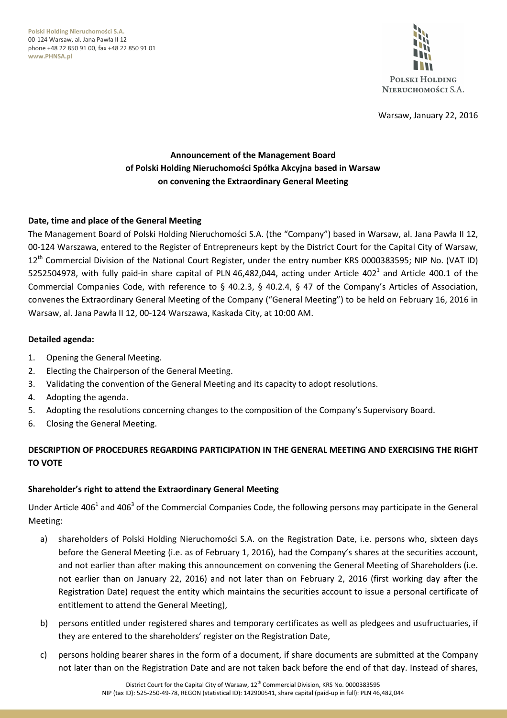**Polski Holding Nieruchomości S.A.** 00-124 Warsaw, al. Jana Pawła II 12 phone +48 22 850 91 00, fax +48 22 850 91 01 **www.PHNSA.pl**



Warsaw, January 22, 2016

# **Announcement of the Management Board of Polski Holding Nieruchomości Spółka Akcyjna based in Warsaw on convening the Extraordinary General Meeting**

### **Date, time and place of the General Meeting**

The Management Board of Polski Holding Nieruchomości S.A. (the "Company") based in Warsaw, al. Jana Pawła II 12, 00-124 Warszawa, entered to the Register of Entrepreneurs kept by the District Court for the Capital City of Warsaw, 12<sup>th</sup> Commercial Division of the National Court Register, under the entry number KRS 0000383595; NIP No. (VAT ID) 5252504978, with fully paid-in share capital of PLN 46,482,044, acting under Article 402<sup>1</sup> and Article 400.1 of the Commercial Companies Code, with reference to § 40.2.3, § 40.2.4, § 47 of the Company's Articles of Association, convenes the Extraordinary General Meeting of the Company ("General Meeting") to be held on February 16, 2016 in Warsaw, al. Jana Pawła II 12, 00-124 Warszawa, Kaskada City, at 10:00 AM.

#### **Detailed agenda:**

- 1. Opening the General Meeting.
- 2. Electing the Chairperson of the General Meeting.
- 3. Validating the convention of the General Meeting and its capacity to adopt resolutions.
- 4. Adopting the agenda.
- 5. Adopting the resolutions concerning changes to the composition of the Company's Supervisory Board.
- 6. Closing the General Meeting.

# **DESCRIPTION OF PROCEDURES REGARDING PARTICIPATION IN THE GENERAL MEETING AND EXERCISING THE RIGHT TO VOTE**

### **Shareholder's right to attend the Extraordinary General Meeting**

Under Article 406<sup>1</sup> and 406<sup>3</sup> of the Commercial Companies Code, the following persons may participate in the General Meeting:

- a) shareholders of Polski Holding Nieruchomości S.A. on the Registration Date, i.e. persons who, sixteen days before the General Meeting (i.e. as of February 1, 2016), had the Company's shares at the securities account, and not earlier than after making this announcement on convening the General Meeting of Shareholders (i.e. not earlier than on January 22, 2016) and not later than on February 2, 2016 (first working day after the Registration Date) request the entity which maintains the securities account to issue a personal certificate of entitlement to attend the General Meeting),
- b) persons entitled under registered shares and temporary certificates as well as pledgees and usufructuaries, if they are entered to the shareholders' register on the Registration Date,
- c) persons holding bearer shares in the form of a document, if share documents are submitted at the Company not later than on the Registration Date and are not taken back before the end of that day. Instead of shares,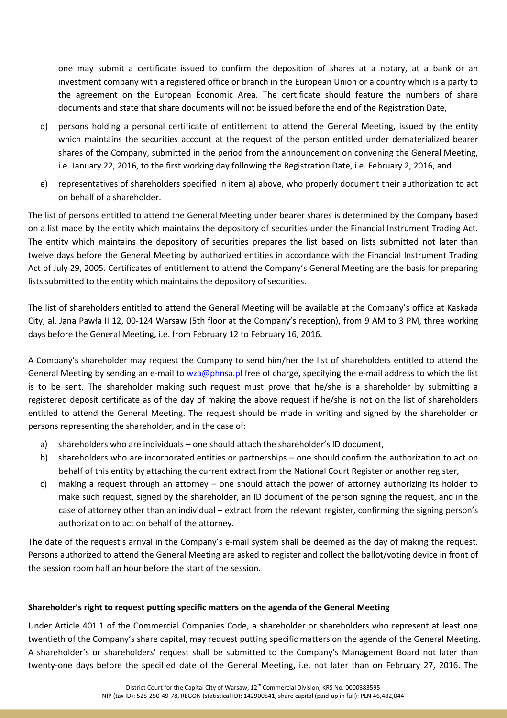one may submit a certificate issued to confirm the deposition of shares at a notary, at a bank or an investment company with a registered office or branch in the European Union or a country which is a party to the agreement on the European Economic Area. The certificate should feature the numbers of share documents and state that share documents will not be issued before the end of the Registration Date,

- d) persons holding a personal certificate of entitlement to attend the General Meeting, issued by the entity which maintains the securities account at the request of the person entitled under dematerialized bearer shares of the Company, submitted in the period from the announcement on convening the General Meeting, i.e. January 22, 2016, to the first working day following the Registration Date, i.e. February 2, 2016, and
- e) representatives of shareholders specified in item a) above, who properly document their authorization to act on behalf of a shareholder.

The list of persons entitled to attend the General Meeting under bearer shares is determined by the Company based on a list made by the entity which maintains the depository of securities under the Financial Instrument Trading Act. The entity which maintains the depository of securities prepares the list based on lists submitted not later than twelve days before the General Meeting by authorized entities in accordance with the Financial Instrument Trading Act of July 29, 2005. Certificates of entitlement to attend the Company's General Meeting are the basis for preparing lists submitted to the entity which maintains the depository of securities.

The list of shareholders entitled to attend the General Meeting will be available at the Company's office at Kaskada City, al. Jana Pawła II 12, 00-124 Warsaw (5th floor at the Company's reception), from 9 AM to 3 PM, three working days before the General Meeting, i.e. from February 12 to February 16, 2016.

A Company's shareholder may request the Company to send him/her the list of shareholders entitled to attend the General Meeting by sending an e-mail to wza@phnsa.pl free of charge, specifying the e-mail address to which the list is to be sent. The shareholder making such request must prove that he/she is a shareholder by submitting a registered deposit certificate as of the day of making the above request if he/she is not on the list of shareholders entitled to attend the General Meeting. The request should be made in writing and signed by the shareholder or persons representing the shareholder, and in the case of:

- a) shareholders who are individuals one should attach the shareholder's ID document,
- b) shareholders who are incorporated entities or partnerships one should confirm the authorization to act on behalf of this entity by attaching the current extract from the National Court Register or another register,
- c) making a request through an attorney one should attach the power of attorney authorizing its holder to make such request, signed by the shareholder, an ID document of the person signing the request, and in the case of attorney other than an individual – extract from the relevant register, confirming the signing person's authorization to act on behalf of the attorney.

The date of the request's arrival in the Company's e-mail system shall be deemed as the day of making the request. Persons authorized to attend the General Meeting are asked to register and collect the ballot/voting device in front of the session room half an hour before the start of the session.

## **Shareholder's right to request putting specific matters on the agenda of the General Meeting**

Under Article 401.1 of the Commercial Companies Code, a shareholder or shareholders who represent at least one twentieth of the Company's share capital, may request putting specific matters on the agenda of the General Meeting. A shareholder's or shareholders' request shall be submitted to the Company's Management Board not later than twenty-one days before the specified date of the General Meeting, i.e. not later than on February 27, 2016. The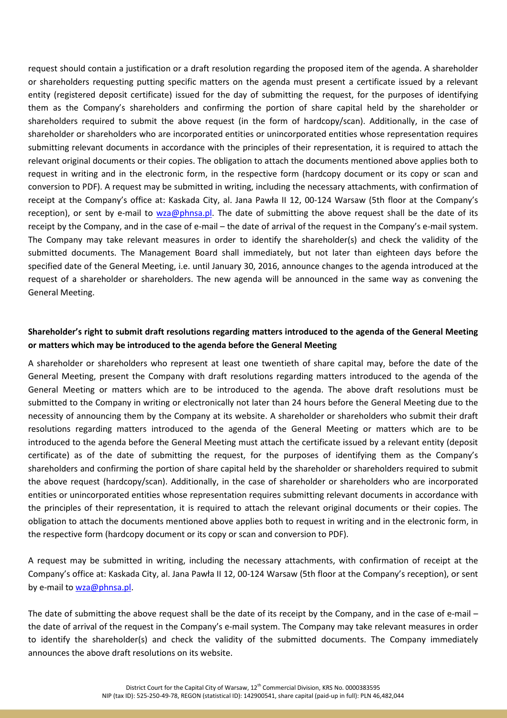request should contain a justification or a draft resolution regarding the proposed item of the agenda. A shareholder or shareholders requesting putting specific matters on the agenda must present a certificate issued by a relevant entity (registered deposit certificate) issued for the day of submitting the request, for the purposes of identifying them as the Company's shareholders and confirming the portion of share capital held by the shareholder or shareholders required to submit the above request (in the form of hardcopy/scan). Additionally, in the case of shareholder or shareholders who are incorporated entities or unincorporated entities whose representation requires submitting relevant documents in accordance with the principles of their representation, it is required to attach the relevant original documents or their copies. The obligation to attach the documents mentioned above applies both to request in writing and in the electronic form, in the respective form (hardcopy document or its copy or scan and conversion to PDF). A request may be submitted in writing, including the necessary attachments, with confirmation of receipt at the Company's office at: Kaskada City, al. Jana Pawła II 12, 00-124 Warsaw (5th floor at the Company's reception), or sent by e-mail to wza@phnsa.pl. The date of submitting the above request shall be the date of its receipt by the Company, and in the case of e-mail – the date of arrival of the request in the Company's e-mail system. The Company may take relevant measures in order to identify the shareholder(s) and check the validity of the submitted documents. The Management Board shall immediately, but not later than eighteen days before the specified date of the General Meeting, i.e. until January 30, 2016, announce changes to the agenda introduced at the request of a shareholder or shareholders. The new agenda will be announced in the same way as convening the General Meeting.

# **Shareholder's right to submit draft resolutions regarding matters introduced to the agenda of the General Meeting or matters which may be introduced to the agenda before the General Meeting**

A shareholder or shareholders who represent at least one twentieth of share capital may, before the date of the General Meeting, present the Company with draft resolutions regarding matters introduced to the agenda of the General Meeting or matters which are to be introduced to the agenda. The above draft resolutions must be submitted to the Company in writing or electronically not later than 24 hours before the General Meeting due to the necessity of announcing them by the Company at its website. A shareholder or shareholders who submit their draft resolutions regarding matters introduced to the agenda of the General Meeting or matters which are to be introduced to the agenda before the General Meeting must attach the certificate issued by a relevant entity (deposit certificate) as of the date of submitting the request, for the purposes of identifying them as the Company's shareholders and confirming the portion of share capital held by the shareholder or shareholders required to submit the above request (hardcopy/scan). Additionally, in the case of shareholder or shareholders who are incorporated entities or unincorporated entities whose representation requires submitting relevant documents in accordance with the principles of their representation, it is required to attach the relevant original documents or their copies. The obligation to attach the documents mentioned above applies both to request in writing and in the electronic form, in the respective form (hardcopy document or its copy or scan and conversion to PDF).

A request may be submitted in writing, including the necessary attachments, with confirmation of receipt at the Company's office at: Kaskada City, al. Jana Pawła II 12, 00-124 Warsaw (5th floor at the Company's reception), or sent by e-mail to wza@phnsa.pl.

The date of submitting the above request shall be the date of its receipt by the Company, and in the case of e-mail – the date of arrival of the request in the Company's e-mail system. The Company may take relevant measures in order to identify the shareholder(s) and check the validity of the submitted documents. The Company immediately announces the above draft resolutions on its website.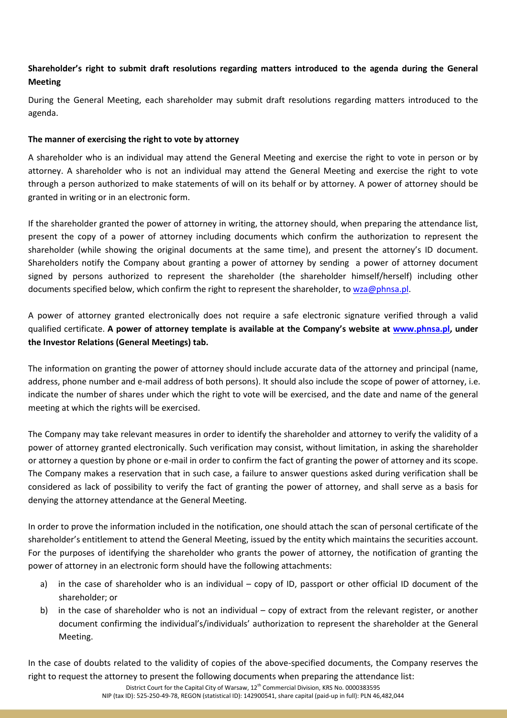# **Shareholder's right to submit draft resolutions regarding matters introduced to the agenda during the General Meeting**

During the General Meeting, each shareholder may submit draft resolutions regarding matters introduced to the agenda.

## **The manner of exercising the right to vote by attorney**

A shareholder who is an individual may attend the General Meeting and exercise the right to vote in person or by attorney. A shareholder who is not an individual may attend the General Meeting and exercise the right to vote through a person authorized to make statements of will on its behalf or by attorney. A power of attorney should be granted in writing or in an electronic form.

If the shareholder granted the power of attorney in writing, the attorney should, when preparing the attendance list, present the copy of a power of attorney including documents which confirm the authorization to represent the shareholder (while showing the original documents at the same time), and present the attorney's ID document. Shareholders notify the Company about granting a power of attorney by sending a power of attorney document signed by persons authorized to represent the shareholder (the shareholder himself/herself) including other documents specified below, which confirm the right to represent the shareholder, to wza@phnsa.pl.

A power of attorney granted electronically does not require a safe electronic signature verified through a valid qualified certificate. **A power of attorney template is available at the Company's website at www.phnsa.pl, under the Investor Relations (General Meetings) tab.** 

The information on granting the power of attorney should include accurate data of the attorney and principal (name, address, phone number and e-mail address of both persons). It should also include the scope of power of attorney, i.e. indicate the number of shares under which the right to vote will be exercised, and the date and name of the general meeting at which the rights will be exercised.

The Company may take relevant measures in order to identify the shareholder and attorney to verify the validity of a power of attorney granted electronically. Such verification may consist, without limitation, in asking the shareholder or attorney a question by phone or e-mail in order to confirm the fact of granting the power of attorney and its scope. The Company makes a reservation that in such case, a failure to answer questions asked during verification shall be considered as lack of possibility to verify the fact of granting the power of attorney, and shall serve as a basis for denying the attorney attendance at the General Meeting.

In order to prove the information included in the notification, one should attach the scan of personal certificate of the shareholder's entitlement to attend the General Meeting, issued by the entity which maintains the securities account. For the purposes of identifying the shareholder who grants the power of attorney, the notification of granting the power of attorney in an electronic form should have the following attachments:

- a) in the case of shareholder who is an individual copy of ID, passport or other official ID document of the shareholder; or
- b) in the case of shareholder who is not an individual copy of extract from the relevant register, or another document confirming the individual's/individuals' authorization to represent the shareholder at the General Meeting.

In the case of doubts related to the validity of copies of the above-specified documents, the Company reserves the right to request the attorney to present the following documents when preparing the attendance list: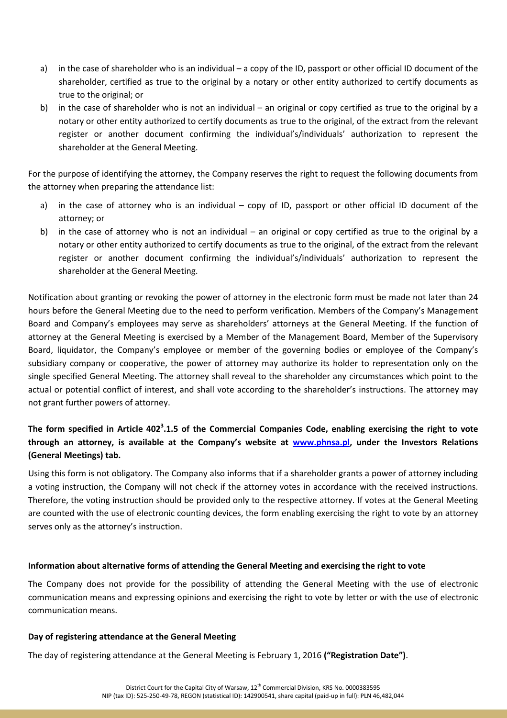- a) in the case of shareholder who is an individual a copy of the ID, passport or other official ID document of the shareholder, certified as true to the original by a notary or other entity authorized to certify documents as true to the original; or
- b) in the case of shareholder who is not an individual an original or copy certified as true to the original by a notary or other entity authorized to certify documents as true to the original, of the extract from the relevant register or another document confirming the individual's/individuals' authorization to represent the shareholder at the General Meeting.

For the purpose of identifying the attorney, the Company reserves the right to request the following documents from the attorney when preparing the attendance list:

- a) in the case of attorney who is an individual copy of ID, passport or other official ID document of the attorney; or
- b) in the case of attorney who is not an individual an original or copy certified as true to the original by a notary or other entity authorized to certify documents as true to the original, of the extract from the relevant register or another document confirming the individual's/individuals' authorization to represent the shareholder at the General Meeting.

Notification about granting or revoking the power of attorney in the electronic form must be made not later than 24 hours before the General Meeting due to the need to perform verification. Members of the Company's Management Board and Company's employees may serve as shareholders' attorneys at the General Meeting. If the function of attorney at the General Meeting is exercised by a Member of the Management Board, Member of the Supervisory Board, liquidator, the Company's employee or member of the governing bodies or employee of the Company's subsidiary company or cooperative, the power of attorney may authorize its holder to representation only on the single specified General Meeting. The attorney shall reveal to the shareholder any circumstances which point to the actual or potential conflict of interest, and shall vote according to the shareholder's instructions. The attorney may not grant further powers of attorney.

# **The form specified in Article 402<sup>3</sup> .1.5 of the Commercial Companies Code, enabling exercising the right to vote through an attorney, is available at the Company's website at www.phnsa.pl, under the Investors Relations (General Meetings) tab.**

Using this form is not obligatory. The Company also informs that if a shareholder grants a power of attorney including a voting instruction, the Company will not check if the attorney votes in accordance with the received instructions. Therefore, the voting instruction should be provided only to the respective attorney. If votes at the General Meeting are counted with the use of electronic counting devices, the form enabling exercising the right to vote by an attorney serves only as the attorney's instruction.

## **Information about alternative forms of attending the General Meeting and exercising the right to vote**

The Company does not provide for the possibility of attending the General Meeting with the use of electronic communication means and expressing opinions and exercising the right to vote by letter or with the use of electronic communication means.

## **Day of registering attendance at the General Meeting**

The day of registering attendance at the General Meeting is February 1, 2016 **("Registration Date")**.